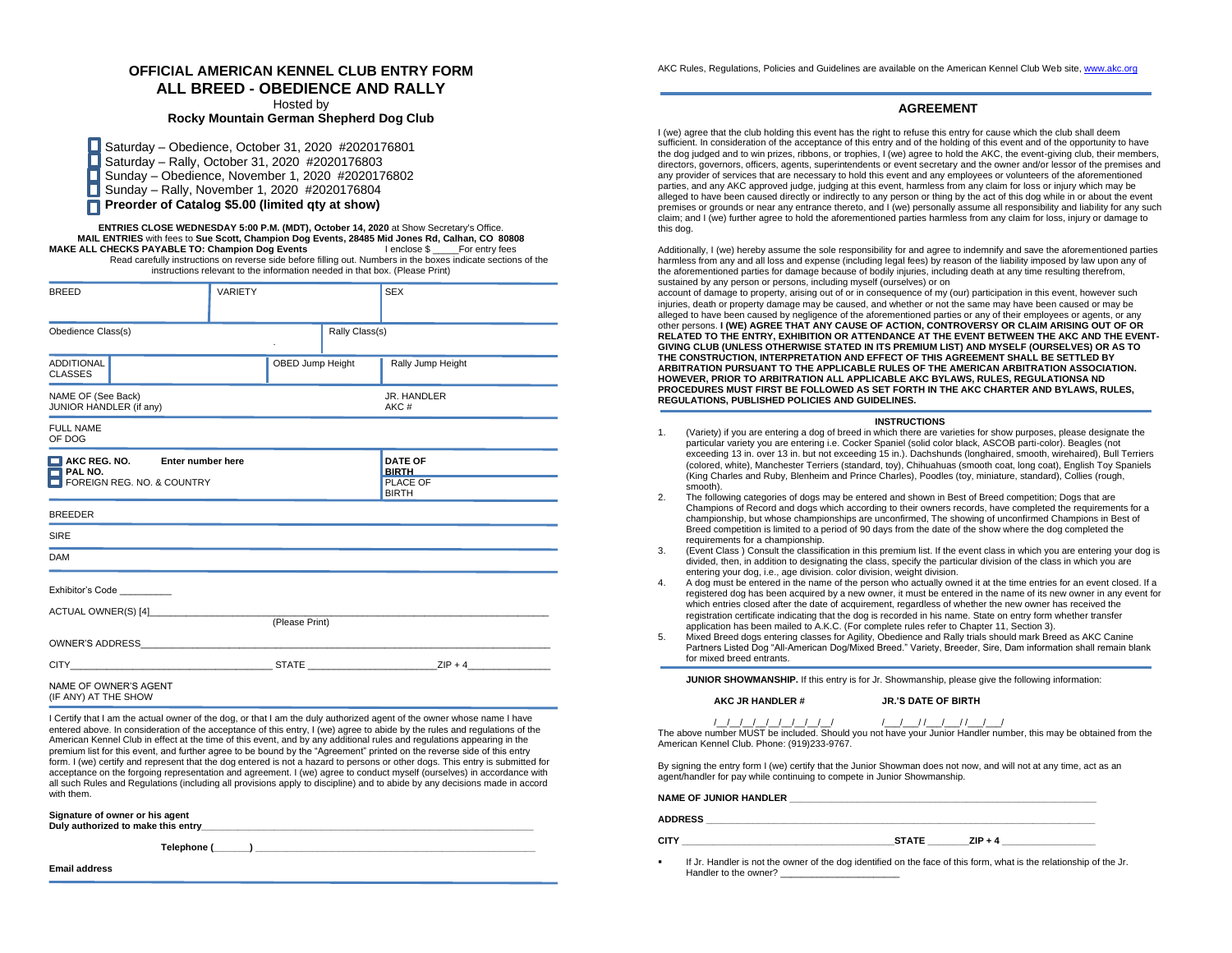# **OFFICIAL AMERICAN KENNEL CLUB ENTRY FORM ALL BREED - OBEDIENCE AND RALLY**

Hosted by

**Rocky Mountain German Shepherd Dog Club**

Saturday – Obedience, October 31, 2020 #2020176801 Saturday – Rally, October 31, 2020 #2020176803 Sunday – Obedience, November 1, 2020 #2020176802 П О Sunday – Rally, November 1, 2020 #2020176804 **Preorder of Catalog \$5.00 (limited qty at show)**

**ENTRIES CLOSE WEDNESDAY 5:00 P.M. (MDT), October 14, 2020** at Show Secretary's Office. **MAIL ENTRIES** with fees to **Sue Scott, Champion Dog Events, 28485 Mid Jones Rd, Calhan, CO 80808 MAKE ALL CHECKS PAYABLE TO: Champion Dog Events** Read carefully instructions on reverse side before filling out. Numbers in the boxes indicate sections of the instructions relevant to the information needed in that box. (Please Print)

| <b>BREED</b>                                                                                             | <b>VARIETY</b> |                |                     | <b>SEX</b>                                                 |  |
|----------------------------------------------------------------------------------------------------------|----------------|----------------|---------------------|------------------------------------------------------------|--|
|                                                                                                          |                |                |                     |                                                            |  |
| Obedience Class(s)                                                                                       | Rally Class(s) |                |                     |                                                            |  |
| <b>ADDITIONAL</b><br><b>CLASSES</b>                                                                      |                |                | OBED Jump Height    | Rally Jump Height                                          |  |
| NAME OF (See Back)<br>JUNIOR HANDLER (if any)                                                            |                |                | JR. HANDLER<br>AKC# |                                                            |  |
| <b>FULL NAME</b><br>OF DOG                                                                               |                |                |                     |                                                            |  |
| $\blacksquare$ AKC REG. NO.<br>Enter number here<br>$\blacksquare$ PAL NO.<br>FOREIGN REG. NO. & COUNTRY |                |                |                     | <b>DATE OF</b><br><b>BIRTH</b><br>PLACE OF<br><b>BIRTH</b> |  |
| <b>BREEDER</b>                                                                                           |                |                |                     |                                                            |  |
| <b>SIRE</b>                                                                                              |                |                |                     |                                                            |  |
| <b>DAM</b>                                                                                               |                |                |                     |                                                            |  |
| Exhibitor's Code                                                                                         |                |                |                     |                                                            |  |
|                                                                                                          |                | (Please Print) |                     |                                                            |  |
|                                                                                                          |                |                |                     |                                                            |  |
|                                                                                                          |                |                |                     |                                                            |  |
| NAME OF OWNER'S AGENT<br>(IF ANY) AT THE SHOW                                                            |                |                |                     |                                                            |  |

I Certify that I am the actual owner of the dog, or that I am the duly authorized agent of the owner whose name I have entered above. In consideration of the acceptance of this entry, I (we) agree to abide by the rules and regulations of the American Kennel Club in effect at the time of this event, and by any additional rules and regulations appearing in the premium list for this event, and further agree to be bound by the "Agreement" printed on the reverse side of this entry form. I (we) certify and represent that the dog entered is not a hazard to persons or other dogs. This entry is submitted for acceptance on the forgoing representation and agreement. I (we) agree to conduct myself (ourselves) in accordance with all such Rules and Regulations (including all provisions apply to discipline) and to abide by any decisions made in accord with them.

**Signature of owner or his agent** Duly authorized to make this entry

**Telephone (** 

**Email address** 

AKC Rules, Regulations, Policies and Guidelines are available on the American Kennel Club Web site[, www.akc.org](http://www.akc.org/)

## **AGREEMENT**

I (we) agree that the club holding this event has the right to refuse this entry for cause which the club shall deem sufficient. In consideration of the acceptance of this entry and of the holding of this event and of the opportunity to have the dog judged and to win prizes, ribbons, or trophies, I (we) agree to hold the AKC, the event-giving club, their members, directors, governors, officers, agents, superintendents or event secretary and the owner and/or lessor of the premises and any provider of services that are necessary to hold this event and any employees or volunteers of the aforementioned parties, and any AKC approved judge, judging at this event, harmless from any claim for loss or injury which may be alleged to have been caused directly or indirectly to any person or thing by the act of this dog while in or about the event premises or grounds or near any entrance thereto, and I (we) personally assume all responsibility and liability for any such claim; and I (we) further agree to hold the aforementioned parties harmless from any claim for loss, injury or damage to this dog.

Additionally, I (we) hereby assume the sole responsibility for and agree to indemnify and save the aforementioned parties harmless from any and all loss and expense (including legal fees) by reason of the liability imposed by law upon any of the aforementioned parties for damage because of bodily injuries, including death at any time resulting therefrom, sustained by any person or persons, including myself (ourselves) or on

account of damage to property, arising out of or in consequence of my (our) participation in this event, however such injuries, death or property damage may be caused, and whether or not the same may have been caused or may be alleged to have been caused by negligence of the aforementioned parties or any of their employees or agents, or any other persons. **I (WE) AGREE THAT ANY CAUSE OF ACTION, CONTROVERSY OR CLAIM ARISING OUT OF OR RELATED TO THE ENTRY, EXHIBITION OR ATTENDANCE AT THE EVENT BETWEEN THE AKC AND THE EVENT-GIVING CLUB (UNLESS OTHERWISE STATED IN ITS PREMIUM LIST) AND MYSELF (OURSELVES) OR AS TO THE CONSTRUCTION, INTERPRETATION AND EFFECT OF THIS AGREEMENT SHALL BE SETTLED BY ARBITRATION PURSUANT TO THE APPLICABLE RULES OF THE AMERICAN ARBITRATION ASSOCIATION. HOWEVER, PRIOR TO ARBITRATION ALL APPLICABLE AKC BYLAWS, RULES, REGULATIONSA ND PROCEDURES MUST FIRST BE FOLLOWED AS SET FORTH IN THE AKC CHARTER AND BYLAWS, RULES, REGULATIONS, PUBLISHED POLICIES AND GUIDELINES.**

#### **INSTRUCTIONS**

- 1. (Variety) if you are entering a dog of breed in which there are varieties for show purposes, please designate the particular variety you are entering i.e. Cocker Spaniel (solid color black, ASCOB parti-color). Beagles (not exceeding 13 in. over 13 in. but not exceeding 15 in.). Dachshunds (longhaired, smooth, wirehaired), Bull Terriers (colored, white), Manchester Terriers (standard, toy), Chihuahuas (smooth coat, long coat), English Toy Spaniels (King Charles and Ruby, Blenheim and Prince Charles), Poodles (toy, miniature, standard), Collies (rough, smooth).
- 2. The following categories of dogs may be entered and shown in Best of Breed competition; Dogs that are Champions of Record and dogs which according to their owners records, have completed the requirements for a championship, but whose championships are unconfirmed, The showing of unconfirmed Champions in Best of Breed competition is limited to a period of 90 days from the date of the show where the dog completed the requirements for a championship.
- 3. (Event Class ) Consult the classification in this premium list. If the event class in which you are entering your dog is divided, then, in addition to designating the class, specify the particular division of the class in which you are entering your dog, i.e., age division. color division, weight division.
- 4. A dog must be entered in the name of the person who actually owned it at the time entries for an event closed. If a registered dog has been acquired by a new owner, it must be entered in the name of its new owner in any event for which entries closed after the date of acquirement, regardless of whether the new owner has received the registration certificate indicating that the dog is recorded in his name. State on entry form whether transfer application has been mailed to A.K.C. (For complete rules refer to Chapter 11, Section 3).
- 5. Mixed Breed dogs entering classes for Agility, Obedience and Rally trials should mark Breed as AKC Canine Partners Listed Dog "All-American Dog/Mixed Breed." Variety, Breeder, Sire, Dam information shall remain blank for mixed breed entrants.

**JUNIOR SHOWMANSHIP.** If this entry is for Jr. Showmanship, please give the following information:

**AKC JR HANDLER # JR.'S DATE OF BIRTH**

/\_\_/\_\_/\_\_/\_\_/\_\_/\_\_/\_\_/\_\_/\_\_/ /\_\_\_/\_\_\_/ /\_\_\_/\_\_\_/ /\_\_\_/\_\_\_/

The above number MUST be included. Should you not have your Junior Handler number, this may be obtained from the American Kennel Club. Phone: (919)233-9767.

By signing the entry form I (we) certify that the Junior Showman does not now, and will not at any time, act as an agent/handler for pay while continuing to compete in Junior Showmanship.

NAME OF JUNIOR HANDLER

**ADDRESS \_\_\_\_\_\_\_\_\_\_\_\_\_\_\_\_\_\_\_\_\_\_\_\_\_\_\_\_\_\_\_\_\_\_\_\_\_\_\_\_\_\_\_\_\_\_\_\_\_\_\_\_\_\_\_\_\_\_\_\_\_\_\_\_\_\_\_\_\_\_\_\_\_\_\_**

**CITY CITY CITY CITY CITY CITY CITY CITY CITY CITY CITY CITY CITY CITY CITY CITY CITY CITY CITY CITY CITY CITY CITY CITY CITY CITY CITY CITY CITY CITY CITY CITY** 

If Jr. Handler is not the owner of the dog identified on the face of this form, what is the relationship of the Jr. Handler to the owner?